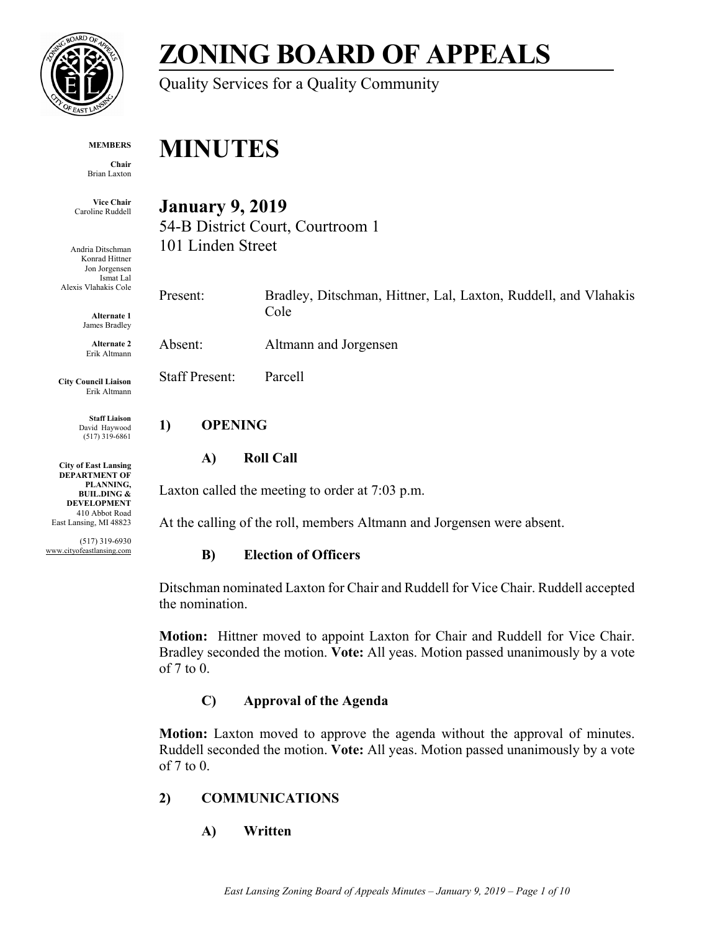

# **ZONING BOARD OF APPEALS**

Quality Services for a Quality Community

#### **MEMBERS**

**Chair** Brian Laxton

**Vice Chair** Caroline Ruddell

Andria Ditschman Konrad Hittner Jon Jorgensen Ismat Lal Alexis Vlahakis Cole

> **Alternate 1** James Bradley

**Alternate 2** Erik Altmann

**City Council Liaison** Erik Altmann

> **Staff Liaison** David Haywood (517) 319-6861

**City of East Lansing DEPARTMENT OF PLANNING, BUIL.DING & DEVELOPMENT** 410 Abbot Road East Lansing, MI 48823

(517) 319-6930 www.cityofeastlansing.com

**MINUTES** 

**January 9, 2019** 

54-B District Court, Courtroom 1 101 Linden Street

Present: Bradley, Ditschman, Hittner, Lal, Laxton, Ruddell, and Vlahakis Cole

Absent: Altmann and Jorgensen

Staff Present: Parcell

### **1) OPENING**

#### **A) Roll Call**

Laxton called the meeting to order at 7:03 p.m.

At the calling of the roll, members Altmann and Jorgensen were absent.

### **B) Election of Officers**

Ditschman nominated Laxton for Chair and Ruddell for Vice Chair. Ruddell accepted the nomination.

**Motion:** Hittner moved to appoint Laxton for Chair and Ruddell for Vice Chair. Bradley seconded the motion. **Vote:** All yeas. Motion passed unanimously by a vote of 7 to 0.

## **C) Approval of the Agenda**

**Motion:** Laxton moved to approve the agenda without the approval of minutes. Ruddell seconded the motion. **Vote:** All yeas. Motion passed unanimously by a vote of 7 to 0.

### **2) COMMUNICATIONS**

**A) Written**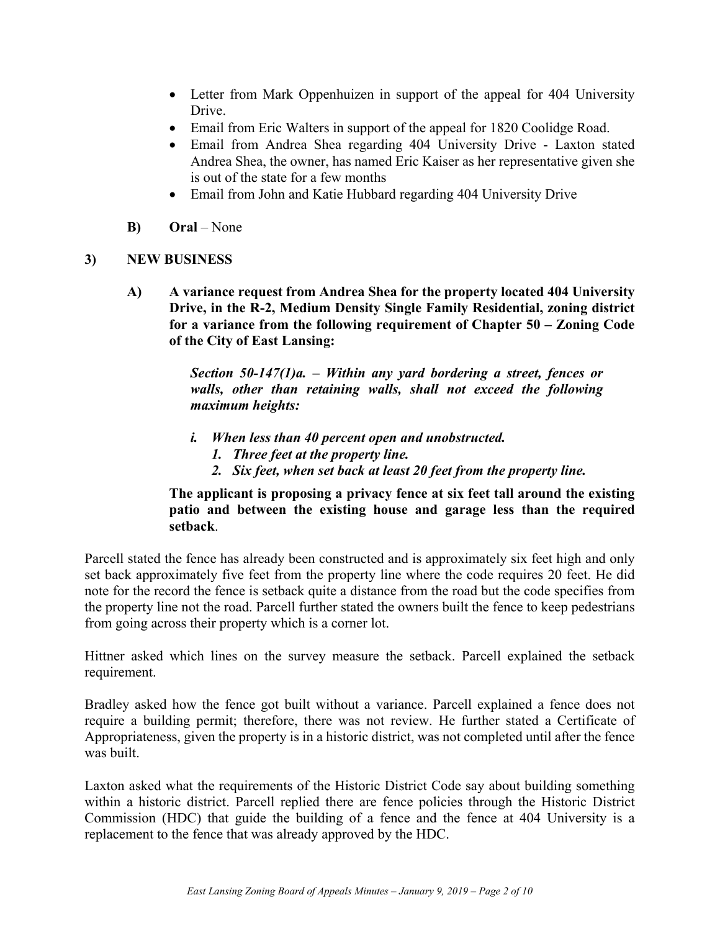- Letter from Mark Oppenhuizen in support of the appeal for 404 University Drive.
- Email from Eric Walters in support of the appeal for 1820 Coolidge Road.
- Email from Andrea Shea regarding 404 University Drive Laxton stated Andrea Shea, the owner, has named Eric Kaiser as her representative given she is out of the state for a few months
- Email from John and Katie Hubbard regarding 404 University Drive
- **B) Oral**  None

#### **3) NEW BUSINESS**

**A) A variance request from Andrea Shea for the property located 404 University Drive, in the R-2, Medium Density Single Family Residential, zoning district for a variance from the following requirement of Chapter 50 – Zoning Code of the City of East Lansing:** 

> *Section 50-147(1)a. – Within any yard bordering a street, fences or walls, other than retaining walls, shall not exceed the following maximum heights:*

- *i. When less than 40 percent open and unobstructed.* 
	- *1. Three feet at the property line.*
	- *2. Six feet, when set back at least 20 feet from the property line.*

**The applicant is proposing a privacy fence at six feet tall around the existing patio and between the existing house and garage less than the required setback**.

Parcell stated the fence has already been constructed and is approximately six feet high and only set back approximately five feet from the property line where the code requires 20 feet. He did note for the record the fence is setback quite a distance from the road but the code specifies from the property line not the road. Parcell further stated the owners built the fence to keep pedestrians from going across their property which is a corner lot.

Hittner asked which lines on the survey measure the setback. Parcell explained the setback requirement.

Bradley asked how the fence got built without a variance. Parcell explained a fence does not require a building permit; therefore, there was not review. He further stated a Certificate of Appropriateness, given the property is in a historic district, was not completed until after the fence was built.

Laxton asked what the requirements of the Historic District Code say about building something within a historic district. Parcell replied there are fence policies through the Historic District Commission (HDC) that guide the building of a fence and the fence at 404 University is a replacement to the fence that was already approved by the HDC.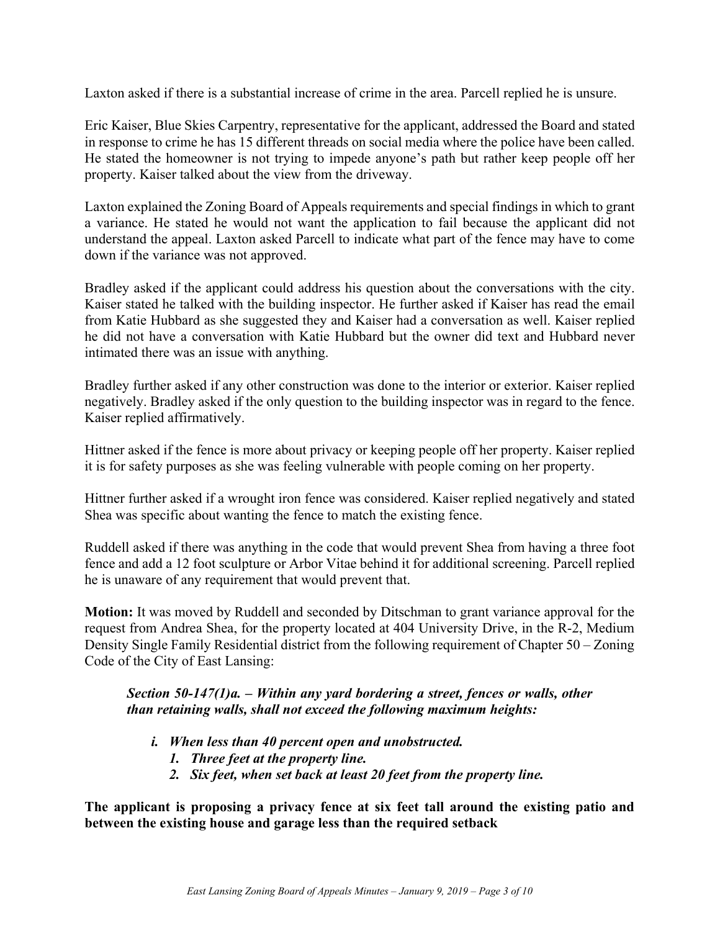Laxton asked if there is a substantial increase of crime in the area. Parcell replied he is unsure.

Eric Kaiser, Blue Skies Carpentry, representative for the applicant, addressed the Board and stated in response to crime he has 15 different threads on social media where the police have been called. He stated the homeowner is not trying to impede anyone's path but rather keep people off her property. Kaiser talked about the view from the driveway.

Laxton explained the Zoning Board of Appeals requirements and special findings in which to grant a variance. He stated he would not want the application to fail because the applicant did not understand the appeal. Laxton asked Parcell to indicate what part of the fence may have to come down if the variance was not approved.

Bradley asked if the applicant could address his question about the conversations with the city. Kaiser stated he talked with the building inspector. He further asked if Kaiser has read the email from Katie Hubbard as she suggested they and Kaiser had a conversation as well. Kaiser replied he did not have a conversation with Katie Hubbard but the owner did text and Hubbard never intimated there was an issue with anything.

Bradley further asked if any other construction was done to the interior or exterior. Kaiser replied negatively. Bradley asked if the only question to the building inspector was in regard to the fence. Kaiser replied affirmatively.

Hittner asked if the fence is more about privacy or keeping people off her property. Kaiser replied it is for safety purposes as she was feeling vulnerable with people coming on her property.

Hittner further asked if a wrought iron fence was considered. Kaiser replied negatively and stated Shea was specific about wanting the fence to match the existing fence.

Ruddell asked if there was anything in the code that would prevent Shea from having a three foot fence and add a 12 foot sculpture or Arbor Vitae behind it for additional screening. Parcell replied he is unaware of any requirement that would prevent that.

**Motion:** It was moved by Ruddell and seconded by Ditschman to grant variance approval for the request from Andrea Shea, for the property located at 404 University Drive, in the R-2, Medium Density Single Family Residential district from the following requirement of Chapter 50 – Zoning Code of the City of East Lansing:

#### *Section 50-147(1)a. – Within any yard bordering a street, fences or walls, other than retaining walls, shall not exceed the following maximum heights:*

- *i. When less than 40 percent open and unobstructed.* 
	- *1. Three feet at the property line.*
	- *2. Six feet, when set back at least 20 feet from the property line.*

**The applicant is proposing a privacy fence at six feet tall around the existing patio and between the existing house and garage less than the required setback**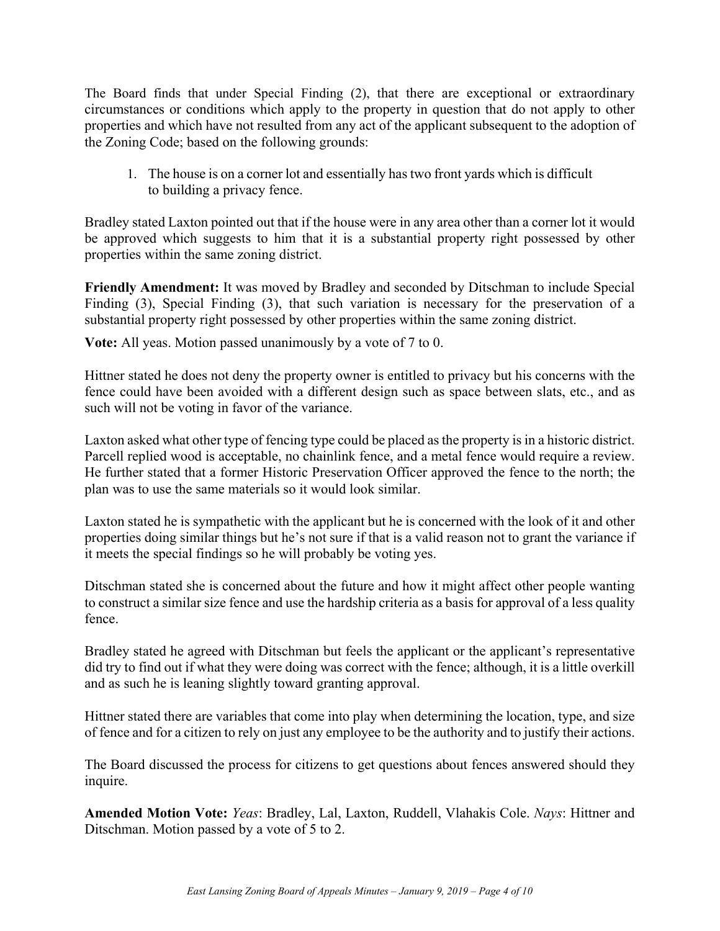The Board finds that under Special Finding (2), that there are exceptional or extraordinary circumstances or conditions which apply to the property in question that do not apply to other properties and which have not resulted from any act of the applicant subsequent to the adoption of the Zoning Code; based on the following grounds:

1. The house is on a corner lot and essentially has two front yards which is difficult to building a privacy fence.

Bradley stated Laxton pointed out that if the house were in any area other than a corner lot it would be approved which suggests to him that it is a substantial property right possessed by other properties within the same zoning district.

**Friendly Amendment:** It was moved by Bradley and seconded by Ditschman to include Special Finding (3), Special Finding (3), that such variation is necessary for the preservation of a substantial property right possessed by other properties within the same zoning district.

**Vote:** All yeas. Motion passed unanimously by a vote of 7 to 0.

Hittner stated he does not deny the property owner is entitled to privacy but his concerns with the fence could have been avoided with a different design such as space between slats, etc., and as such will not be voting in favor of the variance.

Laxton asked what other type of fencing type could be placed as the property is in a historic district. Parcell replied wood is acceptable, no chainlink fence, and a metal fence would require a review. He further stated that a former Historic Preservation Officer approved the fence to the north; the plan was to use the same materials so it would look similar.

Laxton stated he is sympathetic with the applicant but he is concerned with the look of it and other properties doing similar things but he's not sure if that is a valid reason not to grant the variance if it meets the special findings so he will probably be voting yes.

Ditschman stated she is concerned about the future and how it might affect other people wanting to construct a similar size fence and use the hardship criteria as a basis for approval of a less quality fence.

Bradley stated he agreed with Ditschman but feels the applicant or the applicant's representative did try to find out if what they were doing was correct with the fence; although, it is a little overkill and as such he is leaning slightly toward granting approval.

Hittner stated there are variables that come into play when determining the location, type, and size of fence and for a citizen to rely on just any employee to be the authority and to justify their actions.

The Board discussed the process for citizens to get questions about fences answered should they inquire.

**Amended Motion Vote:** *Yeas*: Bradley, Lal, Laxton, Ruddell, Vlahakis Cole. *Nays*: Hittner and Ditschman. Motion passed by a vote of 5 to 2.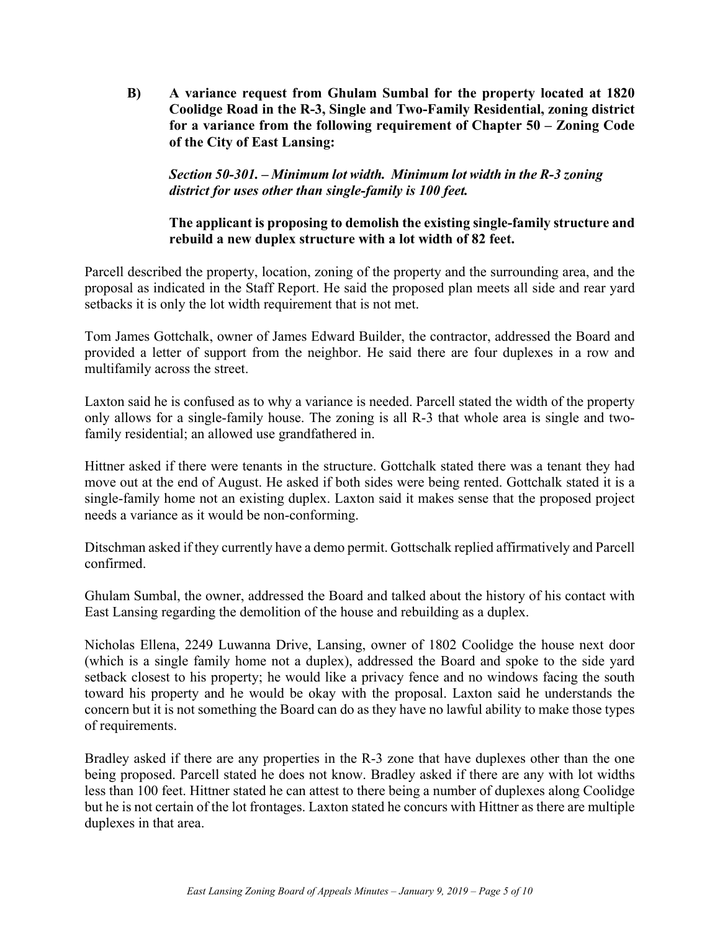**B) A variance request from Ghulam Sumbal for the property located at 1820 Coolidge Road in the R-3, Single and Two-Family Residential, zoning district for a variance from the following requirement of Chapter 50 – Zoning Code of the City of East Lansing:** 

 *Section 50-301. – Minimum lot width. Minimum lot width in the R-3 zoning district for uses other than single-family is 100 feet.* 

#### **The applicant is proposing to demolish the existing single-family structure and rebuild a new duplex structure with a lot width of 82 feet.**

Parcell described the property, location, zoning of the property and the surrounding area, and the proposal as indicated in the Staff Report. He said the proposed plan meets all side and rear yard setbacks it is only the lot width requirement that is not met.

Tom James Gottchalk, owner of James Edward Builder, the contractor, addressed the Board and provided a letter of support from the neighbor. He said there are four duplexes in a row and multifamily across the street.

Laxton said he is confused as to why a variance is needed. Parcell stated the width of the property only allows for a single-family house. The zoning is all R-3 that whole area is single and twofamily residential; an allowed use grandfathered in.

Hittner asked if there were tenants in the structure. Gottchalk stated there was a tenant they had move out at the end of August. He asked if both sides were being rented. Gottchalk stated it is a single-family home not an existing duplex. Laxton said it makes sense that the proposed project needs a variance as it would be non-conforming.

Ditschman asked if they currently have a demo permit. Gottschalk replied affirmatively and Parcell confirmed.

Ghulam Sumbal, the owner, addressed the Board and talked about the history of his contact with East Lansing regarding the demolition of the house and rebuilding as a duplex.

Nicholas Ellena, 2249 Luwanna Drive, Lansing, owner of 1802 Coolidge the house next door (which is a single family home not a duplex), addressed the Board and spoke to the side yard setback closest to his property; he would like a privacy fence and no windows facing the south toward his property and he would be okay with the proposal. Laxton said he understands the concern but it is not something the Board can do as they have no lawful ability to make those types of requirements.

Bradley asked if there are any properties in the R-3 zone that have duplexes other than the one being proposed. Parcell stated he does not know. Bradley asked if there are any with lot widths less than 100 feet. Hittner stated he can attest to there being a number of duplexes along Coolidge but he is not certain of the lot frontages. Laxton stated he concurs with Hittner as there are multiple duplexes in that area.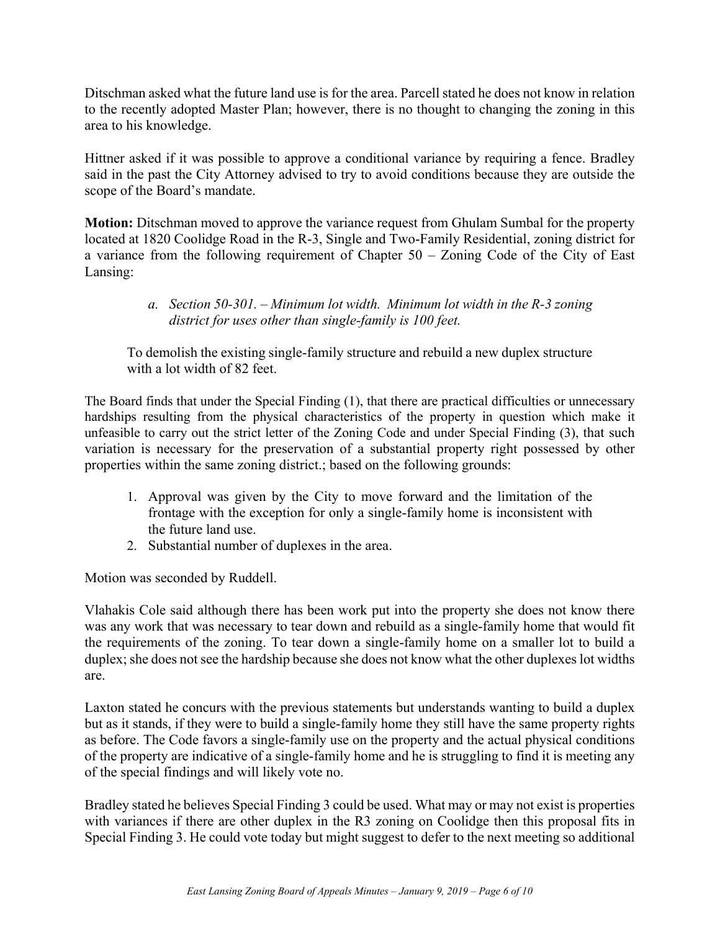Ditschman asked what the future land use is for the area. Parcell stated he does not know in relation to the recently adopted Master Plan; however, there is no thought to changing the zoning in this area to his knowledge.

Hittner asked if it was possible to approve a conditional variance by requiring a fence. Bradley said in the past the City Attorney advised to try to avoid conditions because they are outside the scope of the Board's mandate.

**Motion:** Ditschman moved to approve the variance request from Ghulam Sumbal for the property located at 1820 Coolidge Road in the R-3, Single and Two-Family Residential, zoning district for a variance from the following requirement of Chapter 50 – Zoning Code of the City of East Lansing:

> *a. Section 50-301. – Minimum lot width. Minimum lot width in the R-3 zoning district for uses other than single-family is 100 feet.*

To demolish the existing single-family structure and rebuild a new duplex structure with a lot width of 82 feet.

The Board finds that under the Special Finding (1), that there are practical difficulties or unnecessary hardships resulting from the physical characteristics of the property in question which make it unfeasible to carry out the strict letter of the Zoning Code and under Special Finding (3), that such variation is necessary for the preservation of a substantial property right possessed by other properties within the same zoning district.; based on the following grounds:

- 1. Approval was given by the City to move forward and the limitation of the frontage with the exception for only a single-family home is inconsistent with the future land use.
- 2. Substantial number of duplexes in the area.

Motion was seconded by Ruddell.

Vlahakis Cole said although there has been work put into the property she does not know there was any work that was necessary to tear down and rebuild as a single-family home that would fit the requirements of the zoning. To tear down a single-family home on a smaller lot to build a duplex; she does not see the hardship because she does not know what the other duplexes lot widths are.

Laxton stated he concurs with the previous statements but understands wanting to build a duplex but as it stands, if they were to build a single-family home they still have the same property rights as before. The Code favors a single-family use on the property and the actual physical conditions of the property are indicative of a single-family home and he is struggling to find it is meeting any of the special findings and will likely vote no.

Bradley stated he believes Special Finding 3 could be used. What may or may not exist is properties with variances if there are other duplex in the R3 zoning on Coolidge then this proposal fits in Special Finding 3. He could vote today but might suggest to defer to the next meeting so additional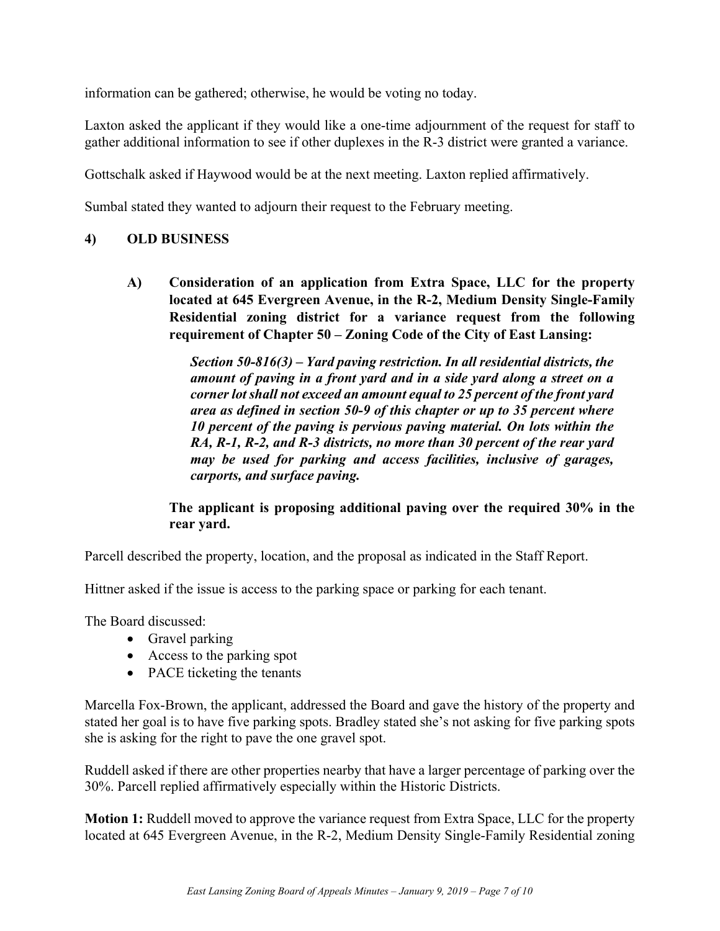information can be gathered; otherwise, he would be voting no today.

Laxton asked the applicant if they would like a one-time adjournment of the request for staff to gather additional information to see if other duplexes in the R-3 district were granted a variance.

Gottschalk asked if Haywood would be at the next meeting. Laxton replied affirmatively.

Sumbal stated they wanted to adjourn their request to the February meeting.

#### **4) OLD BUSINESS**

**A) Consideration of an application from Extra Space, LLC for the property located at 645 Evergreen Avenue, in the R-2, Medium Density Single-Family Residential zoning district for a variance request from the following requirement of Chapter 50 – Zoning Code of the City of East Lansing:** 

> *Section 50-816(3) – Yard paving restriction. In all residential districts, the amount of paving in a front yard and in a side yard along a street on a corner lot shall not exceed an amount equal to 25 percent of the front yard area as defined in section 50-9 of this chapter or up to 35 percent where 10 percent of the paving is pervious paving material. On lots within the RA, R-1, R-2, and R-3 districts, no more than 30 percent of the rear yard may be used for parking and access facilities, inclusive of garages, carports, and surface paving.*

#### **The applicant is proposing additional paving over the required 30% in the rear yard.**

Parcell described the property, location, and the proposal as indicated in the Staff Report.

Hittner asked if the issue is access to the parking space or parking for each tenant.

The Board discussed:

- Gravel parking
- Access to the parking spot
- PACE ticketing the tenants

Marcella Fox-Brown, the applicant, addressed the Board and gave the history of the property and stated her goal is to have five parking spots. Bradley stated she's not asking for five parking spots she is asking for the right to pave the one gravel spot.

Ruddell asked if there are other properties nearby that have a larger percentage of parking over the 30%. Parcell replied affirmatively especially within the Historic Districts.

**Motion 1:** Ruddell moved to approve the variance request from Extra Space, LLC for the property located at 645 Evergreen Avenue, in the R-2, Medium Density Single-Family Residential zoning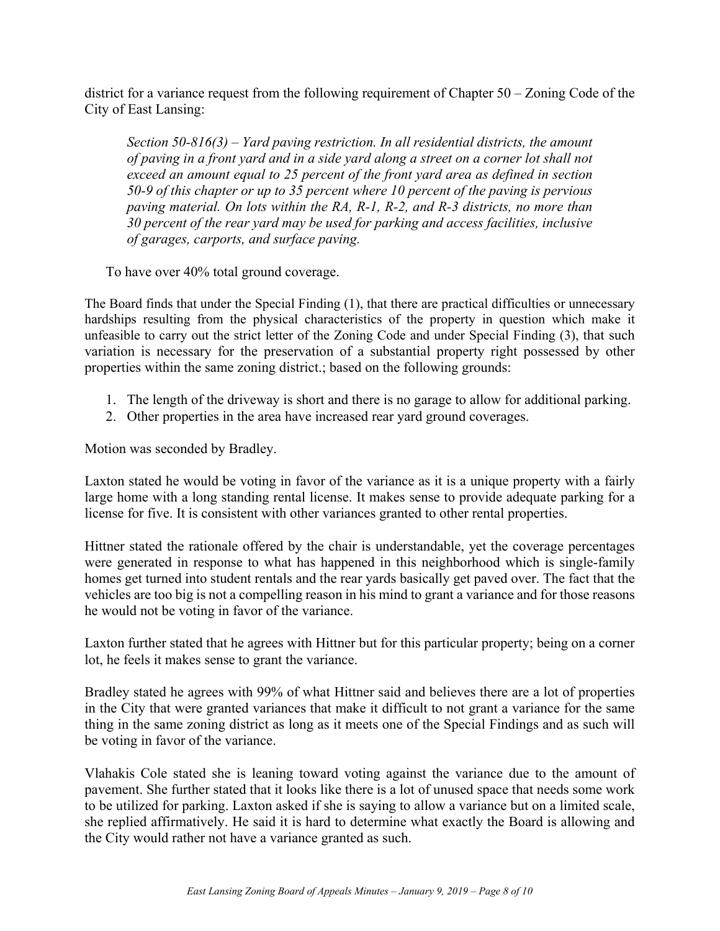district for a variance request from the following requirement of Chapter 50 – Zoning Code of the City of East Lansing:

*Section 50-816(3) – Yard paving restriction. In all residential districts, the amount of paving in a front yard and in a side yard along a street on a corner lot shall not exceed an amount equal to 25 percent of the front yard area as defined in section 50-9 of this chapter or up to 35 percent where 10 percent of the paving is pervious paving material. On lots within the RA, R-1, R-2, and R-3 districts, no more than 30 percent of the rear yard may be used for parking and access facilities, inclusive of garages, carports, and surface paving.* 

To have over 40% total ground coverage.

The Board finds that under the Special Finding (1), that there are practical difficulties or unnecessary hardships resulting from the physical characteristics of the property in question which make it unfeasible to carry out the strict letter of the Zoning Code and under Special Finding (3), that such variation is necessary for the preservation of a substantial property right possessed by other properties within the same zoning district.; based on the following grounds:

- 1. The length of the driveway is short and there is no garage to allow for additional parking.
- 2. Other properties in the area have increased rear yard ground coverages.

Motion was seconded by Bradley.

Laxton stated he would be voting in favor of the variance as it is a unique property with a fairly large home with a long standing rental license. It makes sense to provide adequate parking for a license for five. It is consistent with other variances granted to other rental properties.

Hittner stated the rationale offered by the chair is understandable, yet the coverage percentages were generated in response to what has happened in this neighborhood which is single-family homes get turned into student rentals and the rear yards basically get paved over. The fact that the vehicles are too big is not a compelling reason in his mind to grant a variance and for those reasons he would not be voting in favor of the variance.

Laxton further stated that he agrees with Hittner but for this particular property; being on a corner lot, he feels it makes sense to grant the variance.

Bradley stated he agrees with 99% of what Hittner said and believes there are a lot of properties in the City that were granted variances that make it difficult to not grant a variance for the same thing in the same zoning district as long as it meets one of the Special Findings and as such will be voting in favor of the variance.

Vlahakis Cole stated she is leaning toward voting against the variance due to the amount of pavement. She further stated that it looks like there is a lot of unused space that needs some work to be utilized for parking. Laxton asked if she is saying to allow a variance but on a limited scale, she replied affirmatively. He said it is hard to determine what exactly the Board is allowing and the City would rather not have a variance granted as such.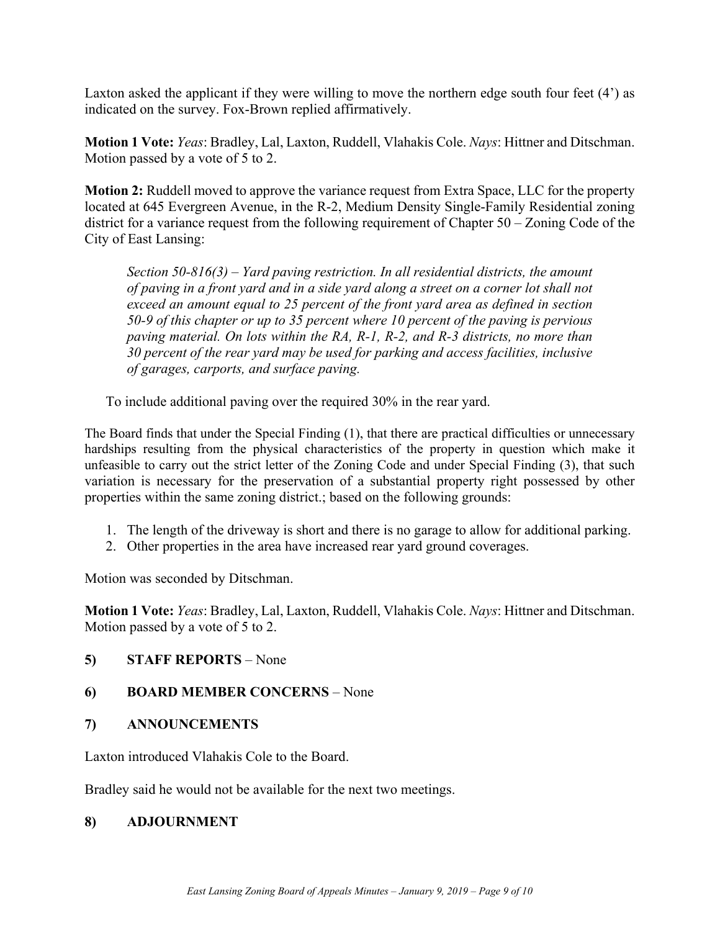Laxton asked the applicant if they were willing to move the northern edge south four feet (4') as indicated on the survey. Fox-Brown replied affirmatively.

**Motion 1 Vote:** *Yeas*: Bradley, Lal, Laxton, Ruddell, Vlahakis Cole. *Nays*: Hittner and Ditschman. Motion passed by a vote of 5 to 2.

**Motion 2:** Ruddell moved to approve the variance request from Extra Space, LLC for the property located at 645 Evergreen Avenue, in the R-2, Medium Density Single-Family Residential zoning district for a variance request from the following requirement of Chapter 50 – Zoning Code of the City of East Lansing:

*Section 50-816(3) – Yard paving restriction. In all residential districts, the amount of paving in a front yard and in a side yard along a street on a corner lot shall not exceed an amount equal to 25 percent of the front yard area as defined in section 50-9 of this chapter or up to 35 percent where 10 percent of the paving is pervious paving material. On lots within the RA, R-1, R-2, and R-3 districts, no more than 30 percent of the rear yard may be used for parking and access facilities, inclusive of garages, carports, and surface paving.* 

To include additional paving over the required 30% in the rear yard.

The Board finds that under the Special Finding (1), that there are practical difficulties or unnecessary hardships resulting from the physical characteristics of the property in question which make it unfeasible to carry out the strict letter of the Zoning Code and under Special Finding (3), that such variation is necessary for the preservation of a substantial property right possessed by other properties within the same zoning district.; based on the following grounds:

- 1. The length of the driveway is short and there is no garage to allow for additional parking.
- 2. Other properties in the area have increased rear yard ground coverages.

Motion was seconded by Ditschman.

**Motion 1 Vote:** *Yeas*: Bradley, Lal, Laxton, Ruddell, Vlahakis Cole. *Nays*: Hittner and Ditschman. Motion passed by a vote of 5 to 2.

**5) STAFF REPORTS** – None

#### **6) BOARD MEMBER CONCERNS** – None

**7) ANNOUNCEMENTS**

Laxton introduced Vlahakis Cole to the Board.

Bradley said he would not be available for the next two meetings.

#### **8) ADJOURNMENT**